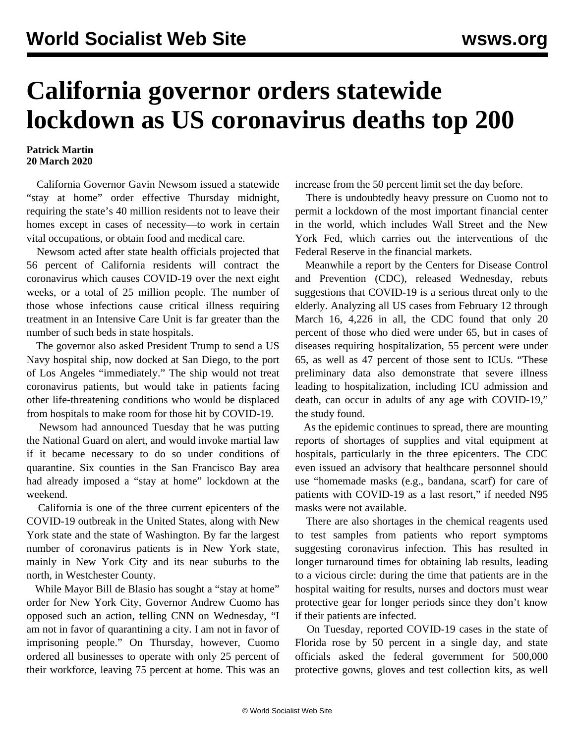## **California governor orders statewide lockdown as US coronavirus deaths top 200**

## **Patrick Martin 20 March 2020**

 California Governor Gavin Newsom issued a statewide "stay at home" order effective Thursday midnight, requiring the state's 40 million residents not to leave their homes except in cases of necessity—to work in certain vital occupations, or obtain food and medical care.

 Newsom acted after state health officials projected that 56 percent of California residents will contract the coronavirus which causes COVID-19 over the next eight weeks, or a total of 25 million people. The number of those whose infections cause critical illness requiring treatment in an Intensive Care Unit is far greater than the number of such beds in state hospitals.

 The governor also asked President Trump to send a US Navy hospital ship, now docked at San Diego, to the port of Los Angeles "immediately." The ship would not treat coronavirus patients, but would take in patients facing other life-threatening conditions who would be displaced from hospitals to make room for those hit by COVID-19.

 Newsom had announced Tuesday that he was putting the National Guard on alert, and would invoke martial law if it became necessary to do so under conditions of quarantine. Six counties in the San Francisco Bay area had already imposed a "stay at home" lockdown at the weekend.

 California is one of the three current epicenters of the COVID-19 outbreak in the United States, along with New York state and the state of Washington. By far the largest number of coronavirus patients is in New York state, mainly in New York City and its near suburbs to the north, in Westchester County.

 While Mayor Bill de Blasio has sought a "stay at home" order for New York City, Governor Andrew Cuomo has opposed such an action, telling CNN on Wednesday, "I am not in favor of quarantining a city. I am not in favor of imprisoning people." On Thursday, however, Cuomo ordered all businesses to operate with only 25 percent of their workforce, leaving 75 percent at home. This was an

increase from the 50 percent limit set the day before.

 There is undoubtedly heavy pressure on Cuomo not to permit a lockdown of the most important financial center in the world, which includes Wall Street and the New York Fed, which carries out the interventions of the Federal Reserve in the financial markets.

 Meanwhile a report by the Centers for Disease Control and Prevention (CDC), released Wednesday, rebuts suggestions that COVID-19 is a serious threat only to the elderly. Analyzing all US cases from February 12 through March 16, 4,226 in all, the CDC found that only 20 percent of those who died were under 65, but in cases of diseases requiring hospitalization, 55 percent were under 65, as well as 47 percent of those sent to ICUs. "These preliminary data also demonstrate that severe illness leading to hospitalization, including ICU admission and death, can occur in adults of any age with COVID-19," the study found.

 As the epidemic continues to spread, there are mounting reports of shortages of supplies and vital equipment at hospitals, particularly in the three epicenters. The CDC even issued an advisory that healthcare personnel should use "homemade masks (e.g., bandana, scarf) for care of patients with COVID-19 as a last resort," if needed N95 masks were not available.

 There are also shortages in the chemical reagents used to test samples from patients who report symptoms suggesting coronavirus infection. This has resulted in longer turnaround times for obtaining lab results, leading to a vicious circle: during the time that patients are in the hospital waiting for results, nurses and doctors must wear protective gear for longer periods since they don't know if their patients are infected.

 On Tuesday, reported COVID-19 cases in the state of Florida rose by 50 percent in a single day, and state officials asked the federal government for 500,000 protective gowns, gloves and test collection kits, as well